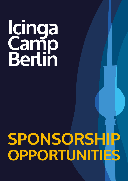# **Icinga Camp**<br>Redin **Berlin Icinga Camp Berlin**

# **SPONSORSHIP SPONSORSHIP OPPORTUNITIES OPPORTUNITIES**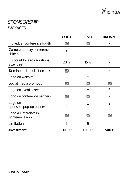

# *SPONSORSHIP PACKAGES*

|                                          | <b>GOLD</b>          | <b>SILVER</b>        | <b>BRONZE</b>        |
|------------------------------------------|----------------------|----------------------|----------------------|
| Individual conference booth              | V                    |                      |                      |
| Complementary conference<br>tickets      | 3                    |                      |                      |
| Discount for each additional<br>attendee | 20%                  | 15%                  |                      |
| 10-minutes introduction talk             | $\blacktriangledown$ |                      |                      |
| Logo on website                          |                      | M                    | S                    |
| Social media promotion                   |                      | $\blacktriangledown$ | $\blacktriangledown$ |
| Logo on event screens                    |                      | M                    | $\mathsf{S}$         |
| Logo on conference banners               |                      |                      |                      |
| Logo on<br>sponsors pop-up banner        |                      | M                    | $\varsigma$          |
| Logo & Reference in<br>conference app    |                      |                      |                      |
| Limitation                               | $\overline{2}$       | 5                    |                      |
| <b>Investment</b>                        | 3.000€               | 1.500€               | 500€                 |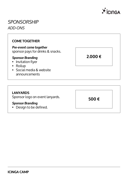

### *SPONSORSHIP ADD-ONS*

#### **COME TOGETHER**

*Pre-event come together*

sponsor pays for drinks & snacks.

#### *Sponsor Branding*

- Invitation flyer
- Rollup
- Social media & website announcements

#### **LANYARDS**

Sponsor logo on event lanyards.

#### *Sponsor Branding*

• Design to be defined.

**2.000 €**

**500 €**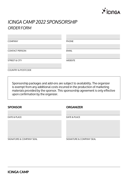

# *ICINGA CAMP 2022 SPONSORSHIP ORDER FORM*

| <b>COMPANY</b>                | <b>PHONE</b>   |
|-------------------------------|----------------|
| <b>CONTACT PERSON</b>         | <b>EMAIL</b>   |
| <b>STREET &amp; CITY</b>      | <b>WEBSITE</b> |
| <b>COUNTRY &amp; POSTCODE</b> |                |

Sponsorship packages and add-ons are subject to availability. The organizer is exempt from any additional costs incurred in the production of marketing materials provided by the sponsor. This sponsorship agreement is only effective upon confirmation by the organizer.

| <b>SPONSOR</b> |
|----------------|
|----------------|

#### **SPONSOR ORGANIZER**

| DATE & PLACE             | DATE & PLACE             |
|--------------------------|--------------------------|
|                          |                          |
|                          |                          |
|                          |                          |
|                          |                          |
| SIGNATURE & COMPANY SEAL | SIGNATURE & COMPANY SEAL |